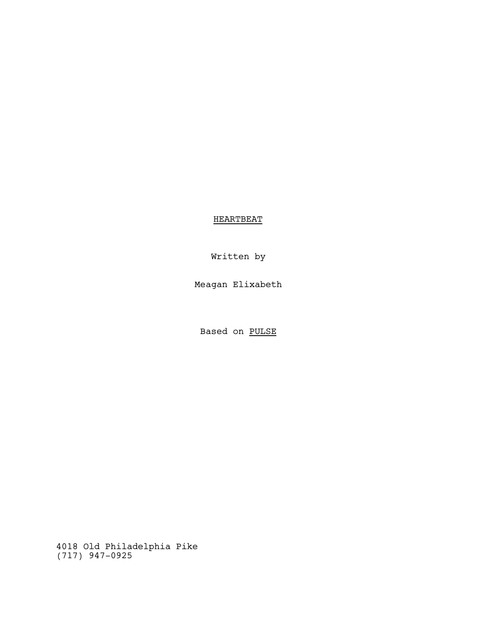**HEARTBEAT** 

Written by

Meagan Elixabeth

Based on PULSE

4018 Old Philadelphia Pike (717) 947-0925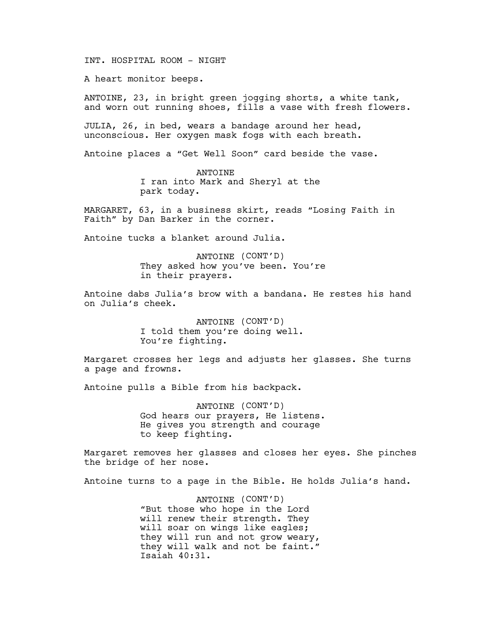INT. HOSPITAL ROOM - NIGHT

A heart monitor beeps.

ANTOINE, 23, in bright green jogging shorts, a white tank, and worn out running shoes, fills a vase with fresh flowers.

JULIA, 26, in bed, wears a bandage around her head, unconscious. Her oxygen mask fogs with each breath.

Antoine places a "Get Well Soon" card beside the vase.

ANTOINE I ran into Mark and Sheryl at the park today.

MARGARET, 63, in a business skirt, reads "Losing Faith in Faith" by Dan Barker in the corner.

Antoine tucks a blanket around Julia.

ANTOINE (CONT'D) They asked how you've been. You're in their prayers.

Antoine dabs Julia's brow with a bandana. He restes his hand on Julia's cheek.

> ANTOINE (CONT'D) I told them you're doing well. You're fighting.

Margaret crosses her legs and adjusts her glasses. She turns a page and frowns.

Antoine pulls a Bible from his backpack.

ANTOINE (CONT'D) God hears our prayers, He listens. He gives you strength and courage to keep fighting.

Margaret removes her glasses and closes her eyes. She pinches the bridge of her nose.

Antoine turns to a page in the Bible. He holds Julia's hand.

ANTOINE (CONT'D) "But those who hope in the Lord will renew their strength. They will soar on wings like eagles; they will run and not grow weary, they will walk and not be faint." Isaiah 40:31.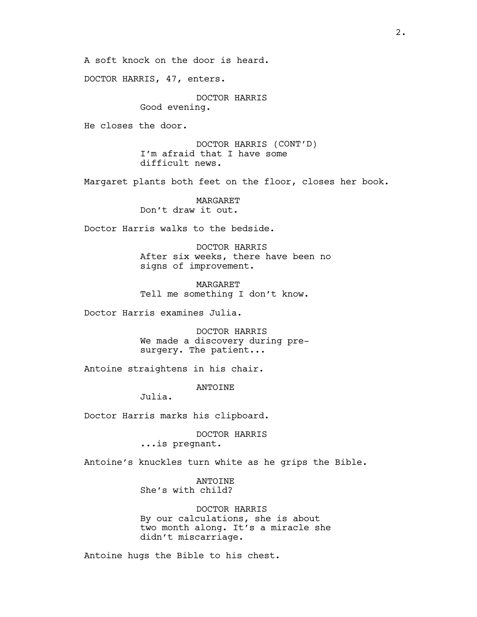A soft knock on the door is heard.

DOCTOR HARRIS, 47, enters.

DOCTOR HARRIS Good evening.

He closes the door.

DOCTOR HARRIS (CONT'D) I'm afraid that I have some difficult news.

Margaret plants both feet on the floor, closes her book.

MARGARET Don't draw it out.

Doctor Harris walks to the bedside.

DOCTOR HARRIS After six weeks, there have been no signs of improvement.

MARGARET Tell me something I don't know.

Doctor Harris examines Julia.

DOCTOR HARRIS We made a discovery during presurgery. The patient...

Antoine straightens in his chair.

**ANTOINE** 

Julia.

Doctor Harris marks his clipboard.

DOCTOR HARRIS ...is pregnant.

Antoine's knuckles turn white as he grips the Bible.

ANTOINE She's with child?

DOCTOR HARRIS By our calculations, she is about two month along. It's a miracle she didn't miscarriage.

Antoine hugs the Bible to his chest.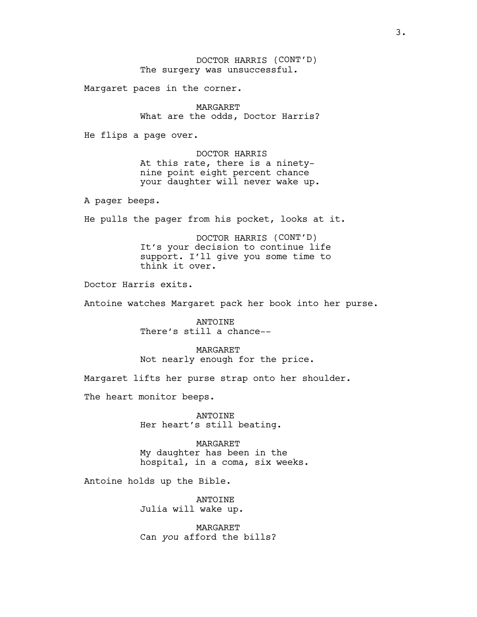DOCTOR HARRIS (CONT'D) The surgery was unsuccessful.

Margaret paces in the corner.

MARGARET What are the odds, Doctor Harris?

He flips a page over.

DOCTOR HARRIS At this rate, there is a ninetynine point eight percent chance your daughter will never wake up.

A pager beeps.

He pulls the pager from his pocket, looks at it.

DOCTOR HARRIS (CONT'D) It's your decision to continue life support. I'll give you some time to think it over.

Doctor Harris exits.

Antoine watches Margaret pack her book into her purse.

ANTOINE There's still a chance--

MARGARET Not nearly enough for the price.

Margaret lifts her purse strap onto her shoulder.

The heart monitor beeps.

ANTOINE Her heart's still beating.

MARGARET My daughter has been in the hospital, in a coma, six weeks.

Antoine holds up the Bible.

ANTOINE Julia will wake up.

MARGARET Can *you* afford the bills?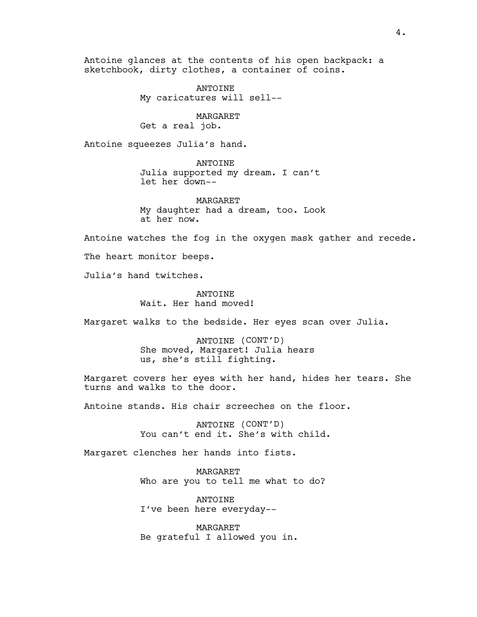Antoine glances at the contents of his open backpack: a sketchbook, dirty clothes, a container of coins.

> ANTOINE My caricatures will sell--

MARGARET Get a real job.

Antoine squeezes Julia's hand.

ANTOINE Julia supported my dream. I can't let her down--

MARGARET My daughter had a dream, too. Look at her now.

Antoine watches the fog in the oxygen mask gather and recede.

The heart monitor beeps.

Julia's hand twitches.

**ANTOINE** Wait. Her hand moved!

Margaret walks to the bedside. Her eyes scan over Julia.

ANTOINE (CONT'D) She moved, Margaret! Julia hears us, she's still fighting.

Margaret covers her eyes with her hand, hides her tears. She turns and walks to the door.

Antoine stands. His chair screeches on the floor.

ANTOINE (CONT'D) You can't end it. She's with child.

Margaret clenches her hands into fists.

MARGARET Who are you to tell me what to do?

ANTOINE I've been here everyday--

MARGARET Be grateful I allowed you in.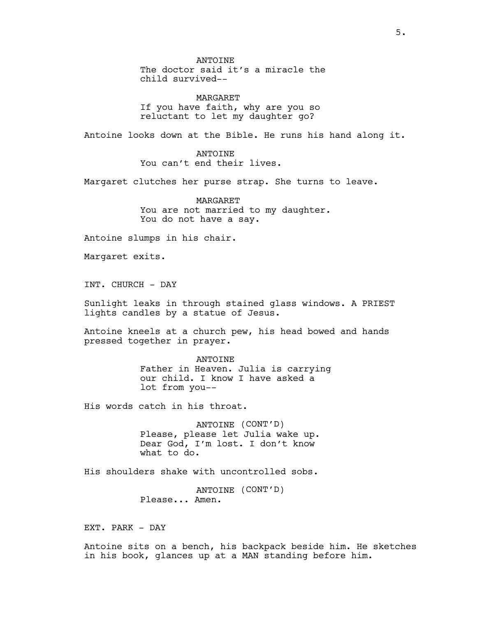ANTOINE The doctor said it's a miracle the child survived--

MARGARET If you have faith, why are you so reluctant to let my daughter go?

Antoine looks down at the Bible. He runs his hand along it.

ANTOINE You can't end their lives.

Margaret clutches her purse strap. She turns to leave.

MARGARET You are not married to my daughter. You do not have a say.

Antoine slumps in his chair.

Margaret exits.

INT. CHURCH - DAY

Sunlight leaks in through stained glass windows. A PRIEST lights candles by a statue of Jesus.

Antoine kneels at a church pew, his head bowed and hands pressed together in prayer.

> ANTOINE Father in Heaven. Julia is carrying our child. I know I have asked a lot from you--

His words catch in his throat.

ANTOINE (CONT'D) Please, please let Julia wake up. Dear God, I'm lost. I don't know what to do.

His shoulders shake with uncontrolled sobs.

ANTOINE (CONT'D) Please... Amen.

EXT. PARK - DAY

Antoine sits on a bench, his backpack beside him. He sketches in his book, glances up at a MAN standing before him.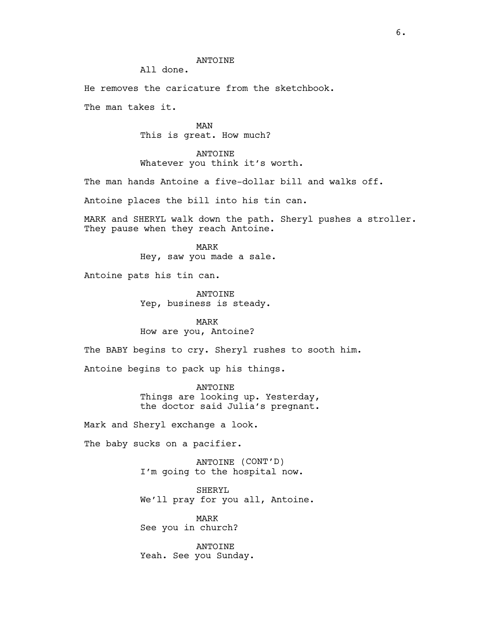## ANTOINE

All done.

He removes the caricature from the sketchbook.

The man takes it.

MAN This is great. How much?

ANTOINE Whatever you think it's worth.

The man hands Antoine a five-dollar bill and walks off.

Antoine places the bill into his tin can.

MARK and SHERYL walk down the path. Sheryl pushes a stroller. They pause when they reach Antoine.

> MARK Hey, saw you made a sale.

Antoine pats his tin can.

ANTOINE Yep, business is steady.

MARK How are you, Antoine?

The BABY begins to cry. Sheryl rushes to sooth him.

Antoine begins to pack up his things.

ANTOINE Things are looking up. Yesterday, the doctor said Julia's pregnant.

Mark and Sheryl exchange a look.

The baby sucks on a pacifier.

ANTOINE (CONT'D) I'm going to the hospital now.

SHERYL We'll pray for you all, Antoine.

MARK See you in church?

ANTOINE Yeah. See you Sunday.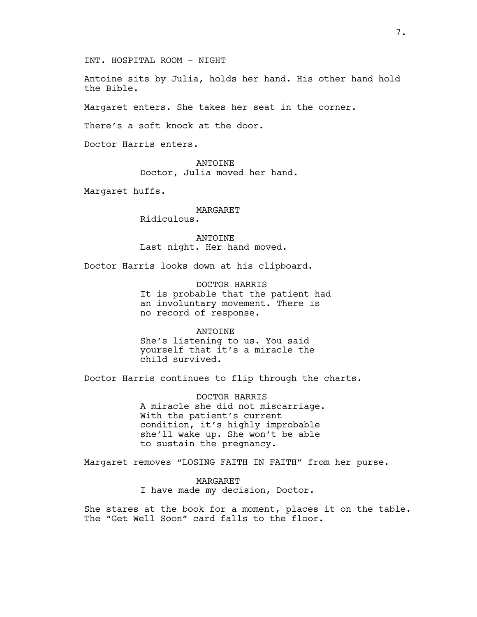INT. HOSPITAL ROOM - NIGHT

Antoine sits by Julia, holds her hand. His other hand hold the Bible.

Margaret enters. She takes her seat in the corner.

There's a soft knock at the door.

Doctor Harris enters.

ANTOINE Doctor, Julia moved her hand.

Margaret huffs.

MARGARET Ridiculous.

ANTOINE Last night. Her hand moved.

Doctor Harris looks down at his clipboard.

DOCTOR HARRIS It is probable that the patient had an involuntary movement. There is no record of response.

ANTOINE

She's listening to us. You said yourself that it's a miracle the child survived.

Doctor Harris continues to flip through the charts.

DOCTOR HARRIS A miracle she did not miscarriage. With the patient's current condition, it's highly improbable she'll wake up. She won't be able to sustain the pregnancy.

Margaret removes "LOSING FAITH IN FAITH" from her purse.

MARGARET I have made my decision, Doctor.

She stares at the book for a moment, places it on the table. The "Get Well Soon" card falls to the floor.